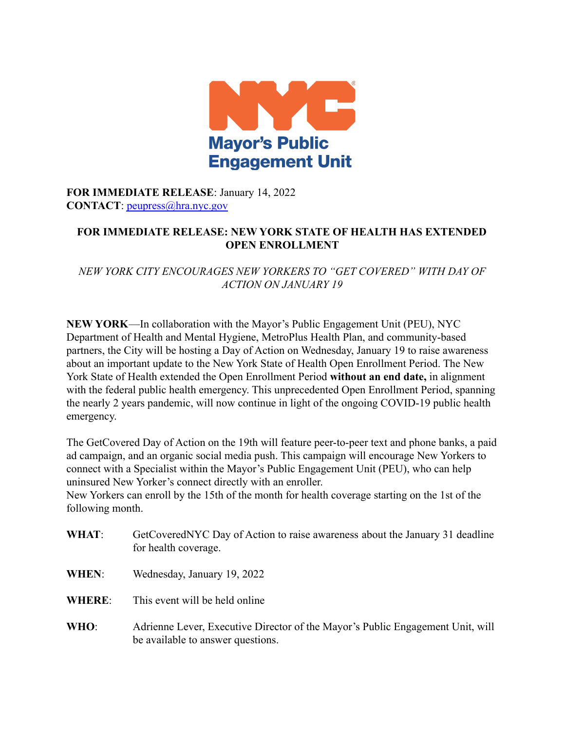

**FOR IMMEDIATE RELEASE**: January 14, 2022 **CONTACT**: [peupress@hra.nyc.gov](mailto:peupress@hra.nyc.gov)

## **FOR IMMEDIATE RELEASE: NEW YORK STATE OF HEALTH HAS EXTENDED OPEN ENROLLMENT**

*NEW YORK CITY ENCOURAGES NEW YORKERS TO "GET COVERED" WITH DAY OF ACTION ON JANUARY 19*

**NEW YORK**—In collaboration with the Mayor's Public Engagement Unit (PEU), NYC Department of Health and Mental Hygiene, MetroPlus Health Plan, and community-based partners, the City will be hosting a Day of Action on Wednesday, January 19 to raise awareness about an important update to the New York State of Health Open Enrollment Period. The New York State of Health extended the Open Enrollment Period **without an end date,** in alignment with the federal public health emergency. This unprecedented Open Enrollment Period, spanning the nearly 2 years pandemic, will now continue in light of the ongoing COVID-19 public health emergency.

The GetCovered Day of Action on the 19th will feature peer-to-peer text and phone banks, a paid ad campaign, and an organic social media push. This campaign will encourage New Yorkers to connect with a Specialist within the Mayor's Public Engagement Unit (PEU), who can help uninsured New Yorker's connect directly with an enroller.

New Yorkers can enroll by the 15th of the month for health coverage starting on the 1st of the following month.

- **WHAT**: GetCoveredNYC Day of Action to raise awareness about the January 31 deadline for health coverage.
- **WHEN**: Wednesday, January 19, 2022
- **WHERE**: This event will be held online
- **WHO**: Adrienne Lever, Executive Director of the Mayor's Public Engagement Unit, will be available to answer questions.